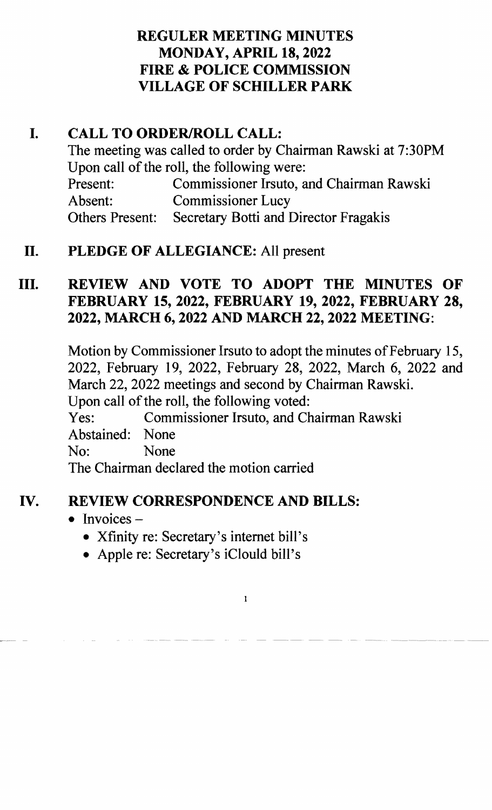### REGULER MEETING MINUTES MONDAY, APRIL 18,2022 FIRE & POLICE COMMISSION VILLAGE OF SCHILLER PARK

## I. CALL TO ORDER/ROLL CALL:

The meeting was called to order by Chairman Rawski at 7:30PM Upon call of the roll, the following were: Present: Commissioner Irsuto, and Chairman Rawski Absent: Commissioner Lucy Others Present: Secretary Botti and Director Fragakis

## II. PLEDGE OF ALLEGIANCE: All present

# III. REVIEW AND VOTE TO ADOPT THE MINUTES OF FEBRUARY 15, 2022, FEBRUARY 19, 2022, FEBRUARY 28, 2022, MARCH 6, 2022 AND MARCH 22, 2022 MEETING:

Motion by Commissioner Irsuto to adopt the minutes of February 15, 2022, February 19, 2022, February 28, 2022, March 6, 2022 and March 22, 2022 meetings and second by Chairman Rawski. Upon call of the roll, the following voted: Yes: Commissioner Irsuto, and Chairman Rawski Abstained: None No: None The Chairman declared the motion carried

### IV. REVIEW CORRESPONDENCE AND BILLS:

- Invoices  $-$ 
	- Xfinity re: Secretary's internet bill's
	- Apple re: Secretary's iClould bill's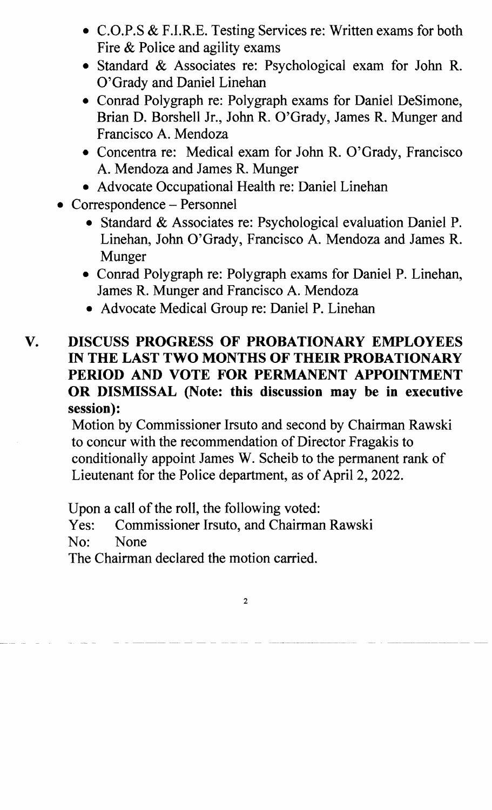- C.O.P.S & F.I.R.E. Testing Services re: Written exams for both Fire & Police and agility exams
- Standard & Associates re: Psychological exam for John R. O'Grady and Daniel Linehan
- Conrad Polygraph re: Polygraph exams for Daniel DeSimone, Brian D. Borshell Jr., John R. O'Grady, James R. Munger and Francisco A. Mendoza
- Concentra re: Medical exam for John R. O'Grady, Francisco A. Mendoza and James R. Munger
- Advocate Occupational Health re: Daniel Linehan
- Correspondence Personnel
	- Standard & Associates re: Psychological evaluation Daniel P. Linehan, John O'Grady, Francisco A. Mendoza and James R. Munger
	- Conrad Polygraph re: Polygraph exams for Daniel P. Linehan, James R. Munger and Francisco A. Mendoza
	- Advocate Medical Group re: Daniel P. Linehan

### V. DISCUSS PROGRESS OF PROBATIONARY EMPLOYEES IN THE LAST TWO MONTHS OF THEIR PROBATIONARY PERIOD AND VOTE FOR PERMANENT APPOINTMENT OR DISMISSAL (Note: this discussion may be in executive session):

Motion by Commissioner Irsuto and second by Chairman Rawski to concur with the recommendation of Director Fragakis to conditionally appoint James W. Scheib to the permanent rank of Lieutenant for the Police department, as of April 2, 2022.

Upon a call of the roll, the following voted:

Yes: Commissioner Irsuto, and Chairman Rawski

No: None

The Chairman declared the motion carried.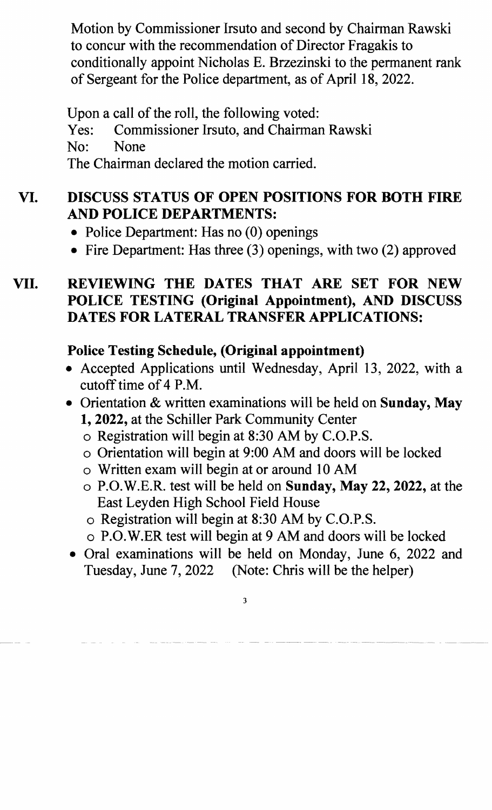Motion by Commissioner Irsuto and second by Chairman Rawski to concur with the recommendation of Director Fragakis to conditionally appoint Nicholas E. Brzezinski to the permanent rank of Sergeant for the Police department, as of April 18, 2022.

Upon a call of the roll, the following voted: Yes: Commissioner Irsuto, and Chairman Rawski No: None The Chairman declared the motion carried.

# VI. DISCUSS STATUS OF OPEN POSITIONS FOR BOTH FIRE AND POLICE DEPARTMENTS:

- Police Department: Has no  $(0)$  openings
- Fire Department: Has three  $(3)$  openings, with two  $(2)$  approved

## VII. REVIEWING THE DATES THAT ARE SET FOR NEW POLICE TESTING (Original Appointment), AND DISCUSS DATES FOR LATERAL TRANSFER APPLICATIONS:

# Police Testing Schedule, (Original appointment)

- Accepted Applications until Wednesday, April 13, 2022, with a cutoff time of 4 P.M.
- Orientation & written examinations will be held on Sunday, May 1, 2022, at the Schiller Park Community Center
	- o Registration will begin at 8:30 AM by C.O.P.S.
	- o Orientation will begin at 9:00 AM and doors will be locked
	- o Written exam will begin at or around 10 AM
	- o P.O.W.E.R. test will be held on Sunday, May 22, 2022, at the East Leyden High School Field House
	- o Registration will begin at 8:30 AM by C.O.P.S.

- o P.O.W.ER test will begin at 9 AM and doors will be locked
- Oral examinations will be held on Monday, June 6, 2022 and Tuesday, June 7, 2022 (Note: Chris will be the helper)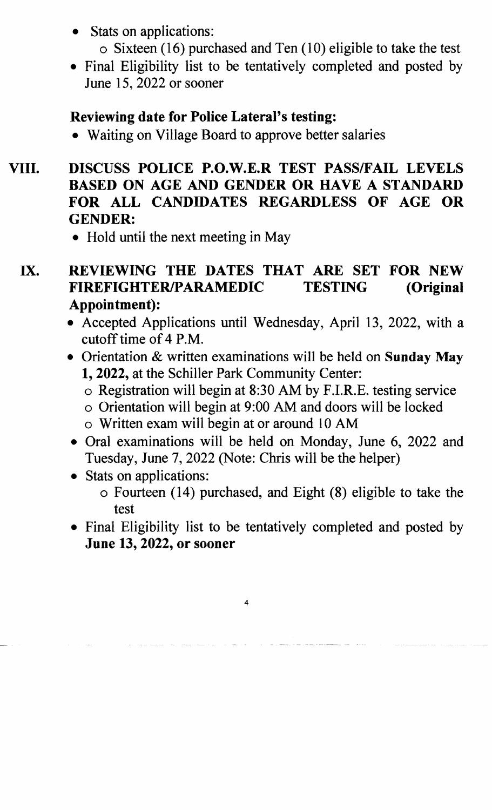- Stats on applications:
	- $\circ$  Sixteen (16) purchased and Ten (10) eligible to take the test
- Final Eligibility list to be tentatively completed and posted by June 15, 2022 or sooner

### Reviewing date for Police Lateral's testing:

- Waiting on Village Board to approve better salaries
- VIII. DISCUSS POLICE P.O.W.E.R TEST PASS/FAIL LEVELS BASED ON AGE AND GENDER OR HAVE A STANDARD FOR ALL CANDIDATES REGARDLESS OF AGE OR GENDER:
	- Hold until the next meeting in May
	- IX. REVIEWING THE DATES THAT ARE SET FOR NEW FIREFIGHTERIPARAMEDIC TESTING (Original Appointment):
		- Accepted Applications until Wednesday, April 13, 2022, with a cutoff time of 4 P.M.
		- Orientation & written examinations will be held on Sunday May 1, 2022, at the Schiller Park Community Center:
			- o Registration will begin at 8:30 AM by F.I.R.E. testing service
			- o Orientation will begin at 9:00 AM and doors will be locked
			- o Written exam will begin at or around 10 AM
		- Oral examinations will be held on Monday, June 6, 2022 and Tuesday, June 7, 2022 (Note: Chris will be the helper)
		- Stats on applications:
			- o Fourteen (14) purchased, and Eight (8) eligible to take the test
		- Final Eligibility list to be tentatively completed and posted by June 13, 2022, or sooner